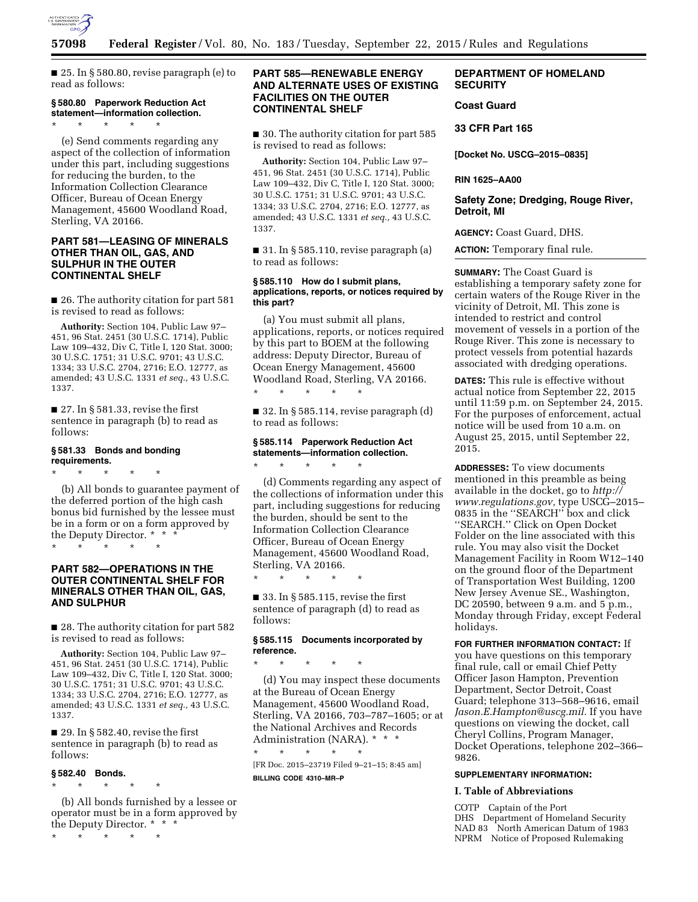

■ 25. In § 580.80, revise paragraph (e) to read as follows:

### **§ 580.80 Paperwork Reduction Act statement—information collection.**

\* \* \* \* \*

(e) Send comments regarding any aspect of the collection of information under this part, including suggestions for reducing the burden, to the Information Collection Clearance Officer, Bureau of Ocean Energy Management, 45600 Woodland Road, Sterling, VA 20166.

# **PART 581—LEASING OF MINERALS OTHER THAN OIL, GAS, AND SULPHUR IN THE OUTER CONTINENTAL SHELF**

■ 26. The authority citation for part 581 is revised to read as follows:

**Authority:** Section 104, Public Law 97– 451, 96 Stat. 2451 (30 U.S.C. 1714), Public Law 109–432, Div C, Title I, 120 Stat. 3000; 30 U.S.C. 1751; 31 U.S.C. 9701; 43 U.S.C. 1334; 33 U.S.C. 2704, 2716; E.O. 12777, as amended; 43 U.S.C. 1331 *et seq.,* 43 U.S.C. 1337.

 $\blacksquare$  27. In § 581.33, revise the first sentence in paragraph (b) to read as follows:

# **§ 581.33 Bonds and bonding requirements.**

\* \* \* \* \*

\* \* \* \* \*

(b) All bonds to guarantee payment of the deferred portion of the high cash bonus bid furnished by the lessee must be in a form or on a form approved by the Deputy Director. \* \* \*

# **PART 582—OPERATIONS IN THE OUTER CONTINENTAL SHELF FOR MINERALS OTHER THAN OIL, GAS, AND SULPHUR**

■ 28. The authority citation for part 582 is revised to read as follows:

**Authority:** Section 104, Public Law 97– 451, 96 Stat. 2451 (30 U.S.C. 1714), Public Law 109–432, Div C, Title I, 120 Stat. 3000; 30 U.S.C. 1751; 31 U.S.C. 9701; 43 U.S.C. 1334; 33 U.S.C. 2704, 2716; E.O. 12777, as amended; 43 U.S.C. 1331 *et seq.,* 43 U.S.C. 1337.

 $\blacksquare$  29. In § 582.40, revise the first sentence in paragraph (b) to read as follows:

### **§ 582.40 Bonds.**

\* \* \* \* \*

(b) All bonds furnished by a lessee or operator must be in a form approved by the Deputy Director. \* \* \*

\* \* \* \* \*

# **PART 585—RENEWABLE ENERGY AND ALTERNATE USES OF EXISTING FACILITIES ON THE OUTER CONTINENTAL SHELF**

■ 30. The authority citation for part 585 is revised to read as follows:

**Authority:** Section 104, Public Law 97– 451, 96 Stat. 2451 (30 U.S.C. 1714), Public Law 109–432, Div C, Title I, 120 Stat. 3000; 30 U.S.C. 1751; 31 U.S.C. 9701; 43 U.S.C. 1334; 33 U.S.C. 2704, 2716; E.O. 12777, as amended; 43 U.S.C. 1331 *et seq.,* 43 U.S.C. 1337.

■ 31. In § 585.110, revise paragraph (a) to read as follows:

### **§ 585.110 How do I submit plans, applications, reports, or notices required by this part?**

(a) You must submit all plans, applications, reports, or notices required by this part to BOEM at the following address: Deputy Director, Bureau of Ocean Energy Management, 45600 Woodland Road, Sterling, VA 20166. \* \* \* \* \*

■ 32. In § 585.114, revise paragraph (d) to read as follows:

# **§ 585.114 Paperwork Reduction Act statements—information collection.**

(d) Comments regarding any aspect of the collections of information under this part, including suggestions for reducing the burden, should be sent to the Information Collection Clearance Officer, Bureau of Ocean Energy Management, 45600 Woodland Road, Sterling, VA 20166.

\* \* \* \* \*

\* \* \* \* \*

 $\blacksquare$  33. In § 585.115, revise the first sentence of paragraph (d) to read as follows:

### **§ 585.115 Documents incorporated by reference.**

\* \* \* \* \*

(d) You may inspect these documents at the Bureau of Ocean Energy Management, 45600 Woodland Road, Sterling, VA 20166, 703–787–1605; or at the National Archives and Records Administration (NARA). \* \* \* \* \* \* \* \*

[FR Doc. 2015–23719 Filed 9–21–15; 8:45 am] **BILLING CODE 4310–MR–P** 

# **DEPARTMENT OF HOMELAND SECURITY**

# **Coast Guard**

**33 CFR Part 165** 

**[Docket No. USCG–2015–0835]** 

**RIN 1625–AA00** 

# **Safety Zone; Dredging, Rouge River, Detroit, MI**

**AGENCY:** Coast Guard, DHS.

**ACTION:** Temporary final rule.

**SUMMARY:** The Coast Guard is establishing a temporary safety zone for certain waters of the Rouge River in the vicinity of Detroit, MI. This zone is intended to restrict and control movement of vessels in a portion of the Rouge River. This zone is necessary to protect vessels from potential hazards associated with dredging operations.

**DATES:** This rule is effective without actual notice from September 22, 2015 until 11:59 p.m. on September 24, 2015. For the purposes of enforcement, actual notice will be used from 10 a.m. on August 25, 2015, until September 22, 2015.

**ADDRESSES:** To view documents mentioned in this preamble as being available in the docket, go to *[http://](http://www.regulations.gov) [www.regulations.gov,](http://www.regulations.gov)* type USCG–2015– 0835 in the ''SEARCH'' box and click ''SEARCH.'' Click on Open Docket Folder on the line associated with this rule. You may also visit the Docket Management Facility in Room W12–140 on the ground floor of the Department of Transportation West Building, 1200 New Jersey Avenue SE., Washington, DC 20590, between 9 a.m. and 5 p.m., Monday through Friday, except Federal holidays.

**FOR FURTHER INFORMATION CONTACT:** If you have questions on this temporary final rule, call or email Chief Petty Officer Jason Hampton, Prevention Department, Sector Detroit, Coast Guard; telephone 313–568–9616, email *[Jason.E.Hampton@uscg.mil.](mailto:Jason.E.Hampton@uscg.mil)* If you have questions on viewing the docket, call Cheryl Collins, Program Manager, Docket Operations, telephone 202–366– 9826.

### **SUPPLEMENTARY INFORMATION:**

#### **I. Table of Abbreviations**

COTP Captain of the Port DHS Department of Homeland Security NAD 83 North American Datum of 1983 NPRM Notice of Proposed Rulemaking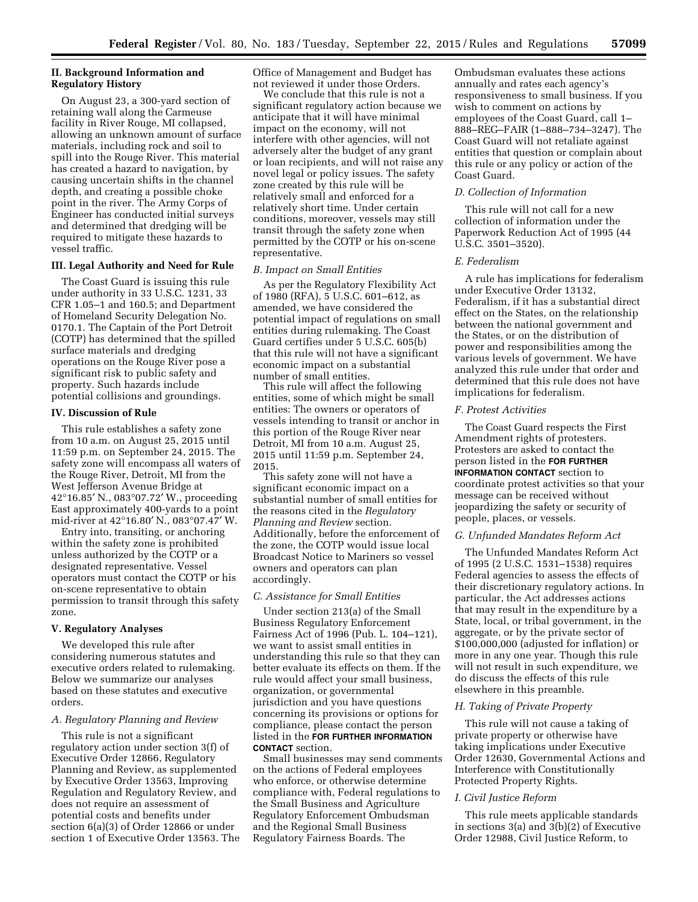## **II. Background Information and Regulatory History**

On August 23, a 300-yard section of retaining wall along the Carmeuse facility in River Rouge, MI collapsed, allowing an unknown amount of surface materials, including rock and soil to spill into the Rouge River. This material has created a hazard to navigation, by causing uncertain shifts in the channel depth, and creating a possible choke point in the river. The Army Corps of Engineer has conducted initial surveys and determined that dredging will be required to mitigate these hazards to vessel traffic.

#### **III. Legal Authority and Need for Rule**

The Coast Guard is issuing this rule under authority in 33 U.S.C. 1231, 33 CFR 1.05–1 and 160.5; and Department of Homeland Security Delegation No. 0170.1. The Captain of the Port Detroit (COTP) has determined that the spilled surface materials and dredging operations on the Rouge River pose a significant risk to public safety and property. Such hazards include potential collisions and groundings.

## **IV. Discussion of Rule**

This rule establishes a safety zone from 10 a.m. on August 25, 2015 until 11:59 p.m. on September 24, 2015. The safety zone will encompass all waters of the Rouge River, Detroit, MI from the West Jefferson Avenue Bridge at 42°16.85′ N., 083°07.72′ W., proceeding East approximately 400-yards to a point mid-river at 42°16.80′ N., 083°07.47′ W.

Entry into, transiting, or anchoring within the safety zone is prohibited unless authorized by the COTP or a designated representative. Vessel operators must contact the COTP or his on-scene representative to obtain permission to transit through this safety zone.

### **V. Regulatory Analyses**

We developed this rule after considering numerous statutes and executive orders related to rulemaking. Below we summarize our analyses based on these statutes and executive orders.

# *A. Regulatory Planning and Review*

This rule is not a significant regulatory action under section 3(f) of Executive Order 12866, Regulatory Planning and Review, as supplemented by Executive Order 13563, Improving Regulation and Regulatory Review, and does not require an assessment of potential costs and benefits under section 6(a)(3) of Order 12866 or under section 1 of Executive Order 13563. The Office of Management and Budget has not reviewed it under those Orders.

We conclude that this rule is not a significant regulatory action because we anticipate that it will have minimal impact on the economy, will not interfere with other agencies, will not adversely alter the budget of any grant or loan recipients, and will not raise any novel legal or policy issues. The safety zone created by this rule will be relatively small and enforced for a relatively short time. Under certain conditions, moreover, vessels may still transit through the safety zone when permitted by the COTP or his on-scene representative.

### *B. Impact on Small Entities*

As per the Regulatory Flexibility Act of 1980 (RFA), 5 U.S.C. 601–612, as amended, we have considered the potential impact of regulations on small entities during rulemaking. The Coast Guard certifies under 5 U.S.C. 605(b) that this rule will not have a significant economic impact on a substantial number of small entities.

This rule will affect the following entities, some of which might be small entities: The owners or operators of vessels intending to transit or anchor in this portion of the Rouge River near Detroit, MI from 10 a.m. August 25, 2015 until 11:59 p.m. September 24, 2015.

This safety zone will not have a significant economic impact on a substantial number of small entities for the reasons cited in the *Regulatory Planning and Review* section. Additionally, before the enforcement of the zone, the COTP would issue local Broadcast Notice to Mariners so vessel owners and operators can plan accordingly.

### *C. Assistance for Small Entities*

Under section 213(a) of the Small Business Regulatory Enforcement Fairness Act of 1996 (Pub. L. 104–121), we want to assist small entities in understanding this rule so that they can better evaluate its effects on them. If the rule would affect your small business, organization, or governmental jurisdiction and you have questions concerning its provisions or options for compliance, please contact the person listed in the **FOR FURTHER INFORMATION CONTACT** section.

Small businesses may send comments on the actions of Federal employees who enforce, or otherwise determine compliance with, Federal regulations to the Small Business and Agriculture Regulatory Enforcement Ombudsman and the Regional Small Business Regulatory Fairness Boards. The

Ombudsman evaluates these actions annually and rates each agency's responsiveness to small business. If you wish to comment on actions by employees of the Coast Guard, call 1– 888–REG–FAIR (1–888–734–3247). The Coast Guard will not retaliate against entities that question or complain about this rule or any policy or action of the Coast Guard.

## *D. Collection of Information*

This rule will not call for a new collection of information under the Paperwork Reduction Act of 1995 (44 U.S.C. 3501–3520).

## *E. Federalism*

A rule has implications for federalism under Executive Order 13132, Federalism, if it has a substantial direct effect on the States, on the relationship between the national government and the States, or on the distribution of power and responsibilities among the various levels of government. We have analyzed this rule under that order and determined that this rule does not have implications for federalism.

#### *F. Protest Activities*

The Coast Guard respects the First Amendment rights of protesters. Protesters are asked to contact the person listed in the **FOR FURTHER INFORMATION CONTACT** section to coordinate protest activities so that your message can be received without jeopardizing the safety or security of people, places, or vessels.

### *G. Unfunded Mandates Reform Act*

The Unfunded Mandates Reform Act of 1995 (2 U.S.C. 1531–1538) requires Federal agencies to assess the effects of their discretionary regulatory actions. In particular, the Act addresses actions that may result in the expenditure by a State, local, or tribal government, in the aggregate, or by the private sector of \$100,000,000 (adjusted for inflation) or more in any one year. Though this rule will not result in such expenditure, we do discuss the effects of this rule elsewhere in this preamble.

### *H. Taking of Private Property*

This rule will not cause a taking of private property or otherwise have taking implications under Executive Order 12630, Governmental Actions and Interference with Constitutionally Protected Property Rights.

#### *I. Civil Justice Reform*

This rule meets applicable standards in sections 3(a) and 3(b)(2) of Executive Order 12988, Civil Justice Reform, to